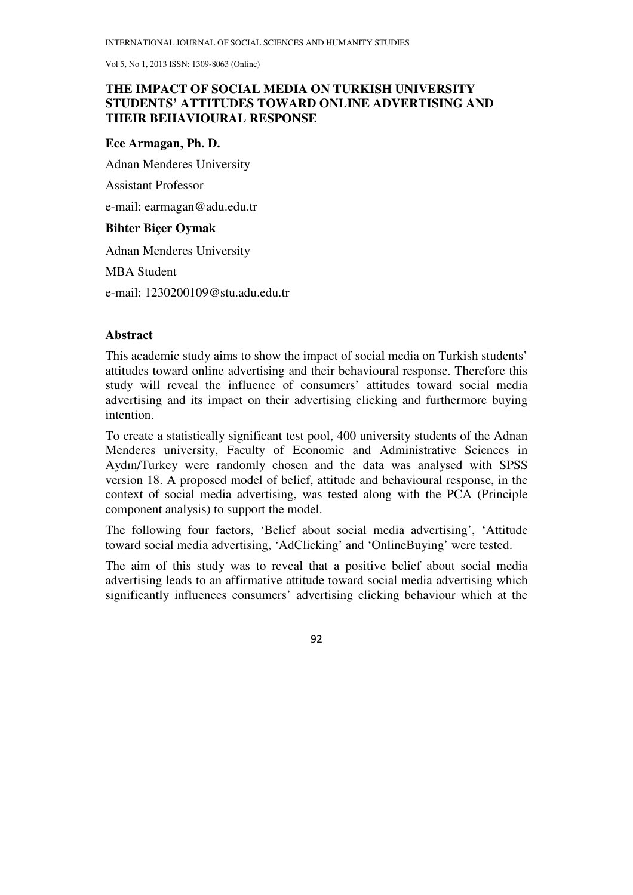# **THE IMPACT OF SOCIAL MEDIA ON TURKISH UNIVERSITY STUDENTS' ATTITUDES TOWARD ONLINE ADVERTISING AND THEIR BEHAVIOURAL RESPONSE**

### **Ece Armagan, Ph. D.**

Adnan Menderes University

Assistant Professor

e-mail: earmagan@adu.edu.tr

## **Bihter Biçer Oymak**

Adnan Menderes University

MBA Student

e-mail: 1230200109@stu.adu.edu.tr

## **Abstract**

This academic study aims to show the impact of social media on Turkish students' attitudes toward online advertising and their behavioural response. Therefore this study will reveal the influence of consumers' attitudes toward social media advertising and its impact on their advertising clicking and furthermore buying intention.

To create a statistically significant test pool, 400 university students of the Adnan Menderes university, Faculty of Economic and Administrative Sciences in Aydın/Turkey were randomly chosen and the data was analysed with SPSS version 18. A proposed model of belief, attitude and behavioural response, in the context of social media advertising, was tested along with the PCA (Principle component analysis) to support the model.

The following four factors, 'Belief about social media advertising', 'Attitude toward social media advertising, 'AdClicking' and 'OnlineBuying' were tested.

The aim of this study was to reveal that a positive belief about social media advertising leads to an affirmative attitude toward social media advertising which significantly influences consumers' advertising clicking behaviour which at the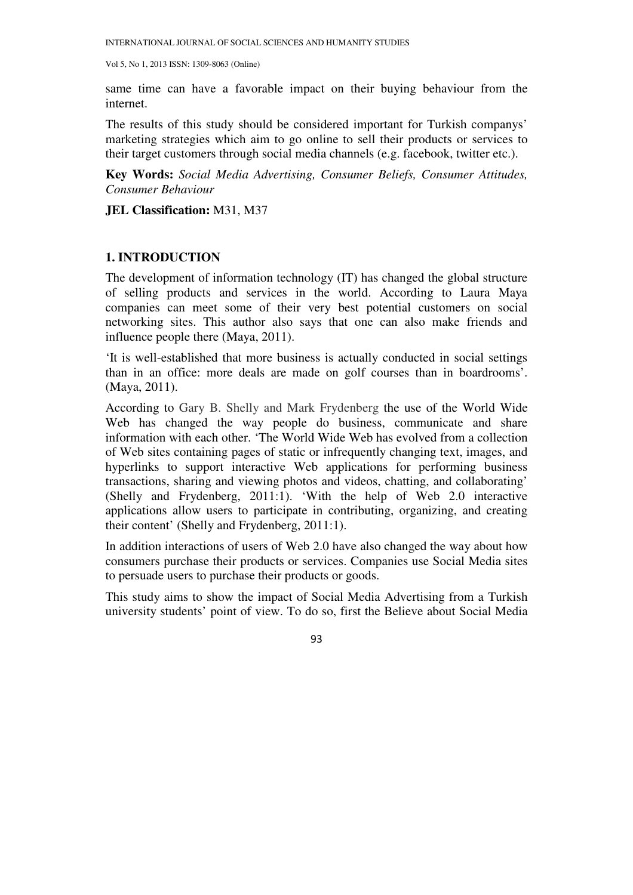same time can have a favorable impact on their buying behaviour from the internet.

The results of this study should be considered important for Turkish companys' marketing strategies which aim to go online to sell their products or services to their target customers through social media channels (e.g. facebook, twitter etc.).

**Key Words:** *Social Media Advertising, Consumer Beliefs, Consumer Attitudes, Consumer Behaviour* 

**JEL Classification:** M31, M37

## **1. INTRODUCTION**

The development of information technology (IT) has changed the global structure of selling products and services in the world. According to Laura Maya companies can meet some of their very best potential customers on social networking sites. This author also says that one can also make friends and influence people there (Maya, 2011).

'It is well-established that more business is actually conducted in social settings than in an office: more deals are made on golf courses than in boardrooms'. (Maya, 2011).

According to Gary B. Shelly and Mark Frydenberg the use of the World Wide Web has changed the way people do business, communicate and share information with each other. 'The World Wide Web has evolved from a collection of Web sites containing pages of static or infrequently changing text, images, and hyperlinks to support interactive Web applications for performing business transactions, sharing and viewing photos and videos, chatting, and collaborating' (Shelly and Frydenberg, 2011:1). 'With the help of Web 2.0 interactive applications allow users to participate in contributing, organizing, and creating their content' (Shelly and Frydenberg, 2011:1).

In addition interactions of users of Web 2.0 have also changed the way about how consumers purchase their products or services. Companies use Social Media sites to persuade users to purchase their products or goods.

This study aims to show the impact of Social Media Advertising from a Turkish university students' point of view. To do so, first the Believe about Social Media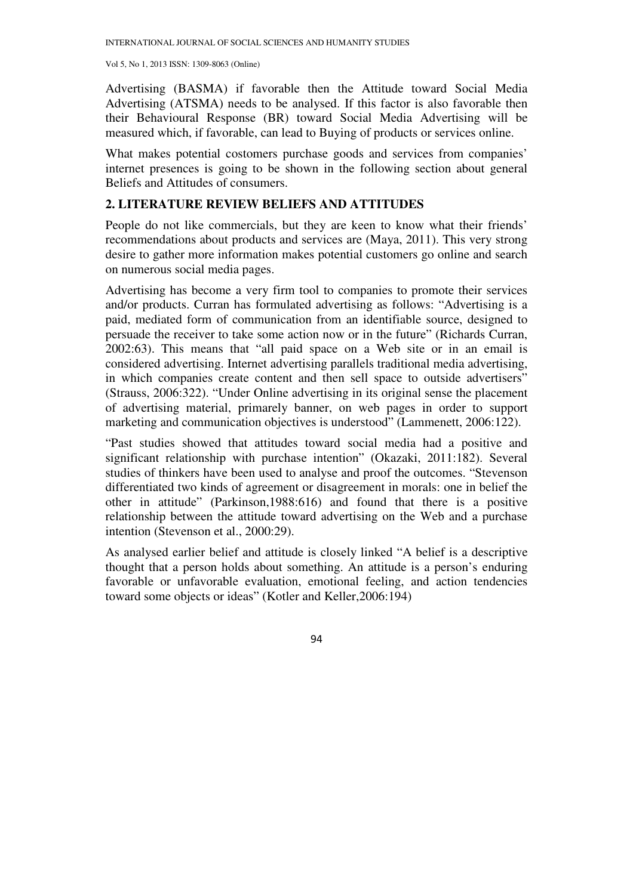Advertising (BASMA) if favorable then the Attitude toward Social Media Advertising (ATSMA) needs to be analysed. If this factor is also favorable then their Behavioural Response (BR) toward Social Media Advertising will be measured which, if favorable, can lead to Buying of products or services online.

What makes potential costomers purchase goods and services from companies' internet presences is going to be shown in the following section about general Beliefs and Attitudes of consumers.

# **2. LITERATURE REVIEW BELIEFS AND ATTITUDES**

People do not like commercials, but they are keen to know what their friends' recommendations about products and services are (Maya, 2011). This very strong desire to gather more information makes potential customers go online and search on numerous social media pages.

Advertising has become a very firm tool to companies to promote their services and/or products. Curran has formulated advertising as follows: "Advertising is a paid, mediated form of communication from an identifiable source, designed to persuade the receiver to take some action now or in the future" (Richards Curran, 2002:63). This means that "all paid space on a Web site or in an email is considered advertising. Internet advertising parallels traditional media advertising, in which companies create content and then sell space to outside advertisers" (Strauss, 2006:322). "Under Online advertising in its original sense the placement of advertising material, primarely banner, on web pages in order to support marketing and communication objectives is understood" (Lammenett, 2006:122).

"Past studies showed that attitudes toward social media had a positive and significant relationship with purchase intention" (Okazaki, 2011:182). Several studies of thinkers have been used to analyse and proof the outcomes. "Stevenson differentiated two kinds of agreement or disagreement in morals: one in belief the other in attitude" (Parkinson,1988:616) and found that there is a positive relationship between the attitude toward advertising on the Web and a purchase intention (Stevenson et al., 2000:29).

As analysed earlier belief and attitude is closely linked "A belief is a descriptive thought that a person holds about something. An attitude is a person's enduring favorable or unfavorable evaluation, emotional feeling, and action tendencies toward some objects or ideas" (Kotler and Keller,2006:194)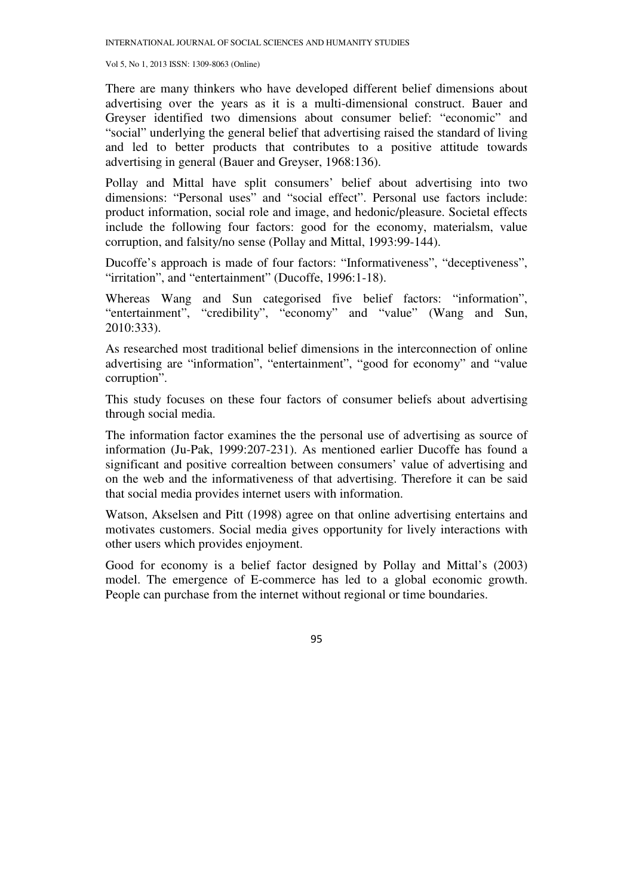There are many thinkers who have developed different belief dimensions about advertising over the years as it is a multi-dimensional construct. Bauer and Greyser identified two dimensions about consumer belief: "economic" and "social" underlying the general belief that advertising raised the standard of living and led to better products that contributes to a positive attitude towards advertising in general (Bauer and Greyser, 1968:136).

Pollay and Mittal have split consumers' belief about advertising into two dimensions: "Personal uses" and "social effect". Personal use factors include: product information, social role and image, and hedonic/pleasure. Societal effects include the following four factors: good for the economy, materialsm, value corruption, and falsity/no sense (Pollay and Mittal, 1993:99-144).

Ducoffe's approach is made of four factors: "Informativeness", "deceptiveness", "irritation", and "entertainment" (Ducoffe, 1996:1-18).

Whereas Wang and Sun categorised five belief factors: "information", "entertainment", "credibility", "economy" and "value" (Wang and Sun, 2010:333).

As researched most traditional belief dimensions in the interconnection of online advertising are "information", "entertainment", "good for economy" and "value corruption".

This study focuses on these four factors of consumer beliefs about advertising through social media.

The information factor examines the the personal use of advertising as source of information (Ju-Pak, 1999:207-231). As mentioned earlier Ducoffe has found a significant and positive correaltion between consumers' value of advertising and on the web and the informativeness of that advertising. Therefore it can be said that social media provides internet users with information.

Watson, Akselsen and Pitt (1998) agree on that online advertising entertains and motivates customers. Social media gives opportunity for lively interactions with other users which provides enjoyment.

Good for economy is a belief factor designed by Pollay and Mittal's (2003) model. The emergence of E-commerce has led to a global economic growth. People can purchase from the internet without regional or time boundaries.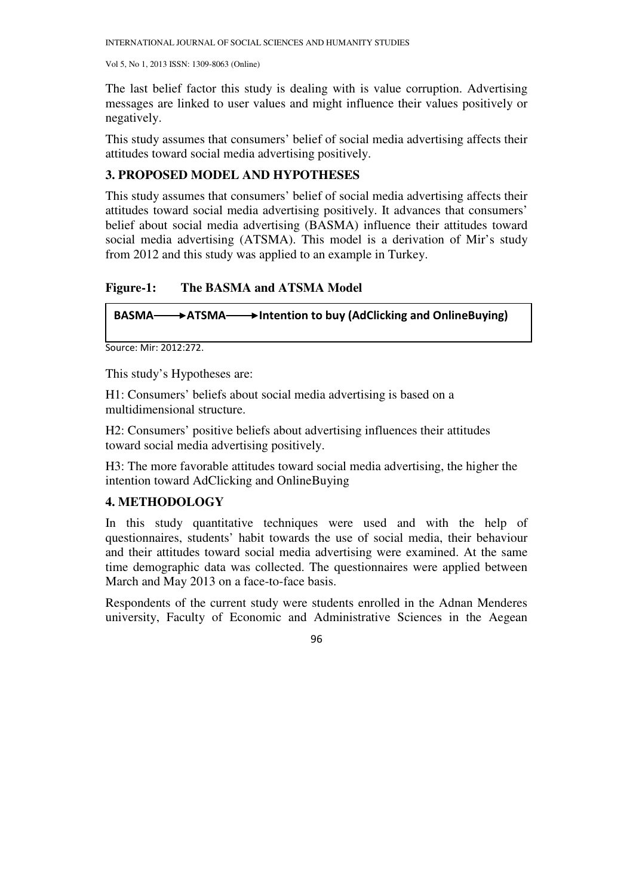The last belief factor this study is dealing with is value corruption. Advertising messages are linked to user values and might influence their values positively or negatively.

This study assumes that consumers' belief of social media advertising affects their attitudes toward social media advertising positively.

# **3. PROPOSED MODEL AND HYPOTHESES**

This study assumes that consumers' belief of social media advertising affects their attitudes toward social media advertising positively. It advances that consumers' belief about social media advertising (BASMA) influence their attitudes toward social media advertising (ATSMA). This model is a derivation of Mir's study from 2012 and this study was applied to an example in Turkey.

# **Figure-1: The BASMA and ATSMA Model**

## BASMA  $\longrightarrow$  ATSMA  $\longrightarrow$  Intention to buy (AdClicking and OnlineBuying)

```
Source: Mir: 2012:272.
```
This study's Hypotheses are:

H1: Consumers' beliefs about social media advertising is based on a multidimensional structure.

H2: Consumers' positive beliefs about advertising influences their attitudes toward social media advertising positively.

H3: The more favorable attitudes toward social media advertising, the higher the intention toward AdClicking and OnlineBuying

## **4. METHODOLOGY**

In this study quantitative techniques were used and with the help of questionnaires, students' habit towards the use of social media, their behaviour and their attitudes toward social media advertising were examined. At the same time demographic data was collected. The questionnaires were applied between March and May 2013 on a face-to-face basis.

Respondents of the current study were students enrolled in the Adnan Menderes university, Faculty of Economic and Administrative Sciences in the Aegean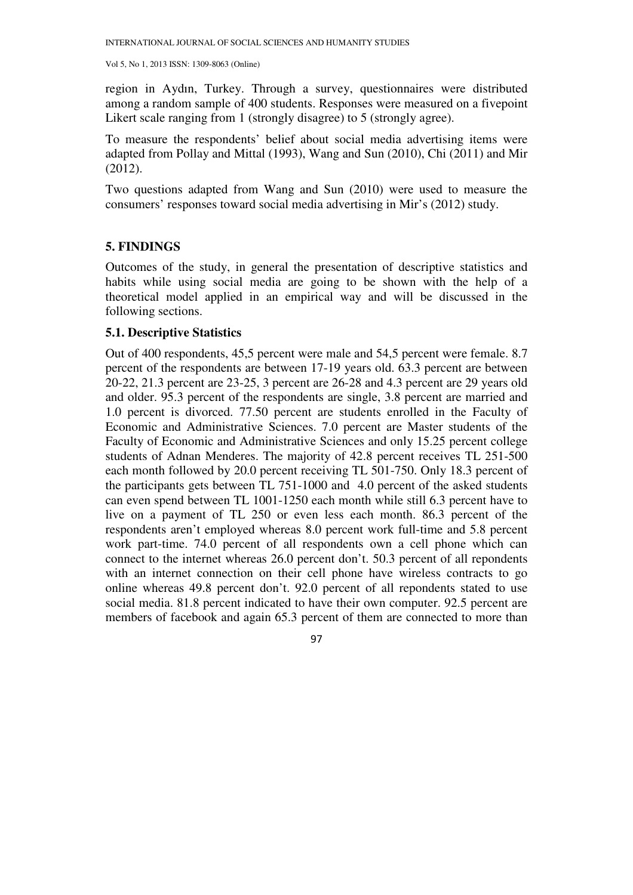region in Aydın, Turkey. Through a survey, questionnaires were distributed among a random sample of 400 students. Responses were measured on a fivepoint Likert scale ranging from 1 (strongly disagree) to 5 (strongly agree).

To measure the respondents' belief about social media advertising items were adapted from Pollay and Mittal (1993), Wang and Sun (2010), Chi (2011) and Mir (2012).

Two questions adapted from Wang and Sun (2010) were used to measure the consumers' responses toward social media advertising in Mir's (2012) study.

## **5. FINDINGS**

Outcomes of the study, in general the presentation of descriptive statistics and habits while using social media are going to be shown with the help of a theoretical model applied in an empirical way and will be discussed in the following sections.

### **5.1. Descriptive Statistics**

Out of 400 respondents, 45,5 percent were male and 54,5 percent were female. 8.7 percent of the respondents are between 17-19 years old. 63.3 percent are between 20-22, 21.3 percent are 23-25, 3 percent are 26-28 and 4.3 percent are 29 years old and older. 95.3 percent of the respondents are single, 3.8 percent are married and 1.0 percent is divorced. 77.50 percent are students enrolled in the Faculty of Economic and Administrative Sciences. 7.0 percent are Master students of the Faculty of Economic and Administrative Sciences and only 15.25 percent college students of Adnan Menderes. The majority of 42.8 percent receives TL 251-500 each month followed by 20.0 percent receiving TL 501-750. Only 18.3 percent of the participants gets between TL 751-1000 and 4.0 percent of the asked students can even spend between TL 1001-1250 each month while still 6.3 percent have to live on a payment of TL 250 or even less each month. 86.3 percent of the respondents aren't employed whereas 8.0 percent work full-time and 5.8 percent work part-time. 74.0 percent of all respondents own a cell phone which can connect to the internet whereas 26.0 percent don't. 50.3 percent of all repondents with an internet connection on their cell phone have wireless contracts to go online whereas 49.8 percent don't. 92.0 percent of all repondents stated to use social media. 81.8 percent indicated to have their own computer. 92.5 percent are members of facebook and again 65.3 percent of them are connected to more than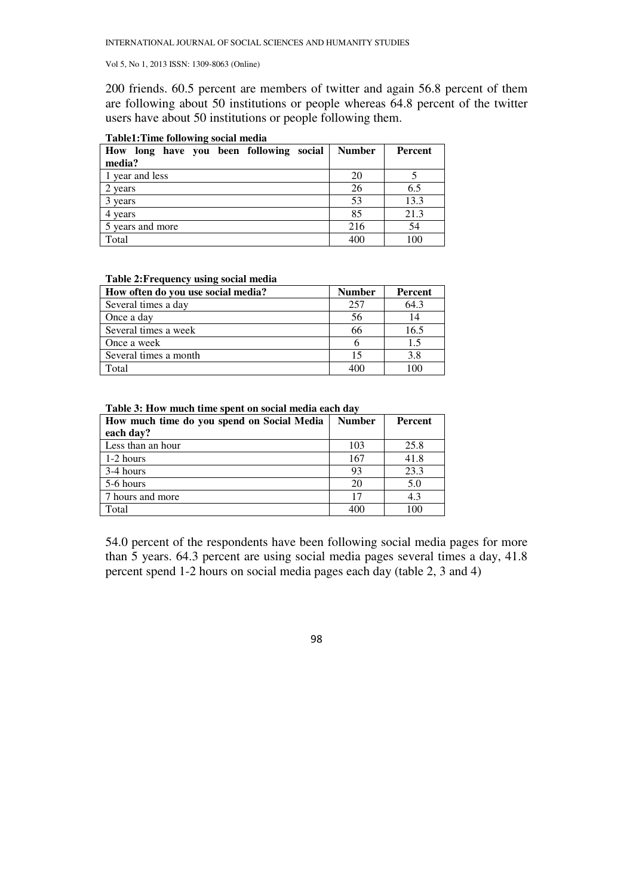200 friends. 60.5 percent are members of twitter and again 56.8 percent of them are following about 50 institutions or people whereas 64.8 percent of the twitter users have about 50 institutions or people following them.

| How long have you been following social<br>media? | <b>Number</b> | Percent |
|---------------------------------------------------|---------------|---------|
| 1 year and less                                   | 20            |         |
| 2 years                                           | 26            | 6.5     |
| 3 years                                           | 53            | 13.3    |
| 4 years                                           | 85            | 21.3    |
| 5 years and more                                  | 216           | 54      |
| Total                                             | 400           | 100     |

#### **Table1:Time following social media**

#### **Table 2: Frequency using social media**

| How often do you use social media? | <b>Number</b> | Percent |
|------------------------------------|---------------|---------|
| Several times a day                | 257           | 64.3    |
| Once a day                         | 56            | 14      |
| Several times a week               | 66            | 16.5    |
| Once a week                        |               | 1.5     |
| Several times a month              | 15            | 3.8     |
| Total                              | 400           | 100     |

**Table 3: How much time spent on social media each day** 

| How much time do you spend on Social Media | <b>Number</b> | <b>Percent</b> |
|--------------------------------------------|---------------|----------------|
| each day?                                  |               |                |
| Less than an hour                          | 103           | 25.8           |
| 1-2 hours                                  | 167           | 41.8           |
| 3-4 hours                                  | 93            | 23.3           |
| 5-6 hours                                  | 20            | 5.0            |
| 7 hours and more                           | 17            | 4.3            |
| Total                                      | 400           | 100            |

54.0 percent of the respondents have been following social media pages for more than 5 years. 64.3 percent are using social media pages several times a day, 41.8 percent spend 1-2 hours on social media pages each day (table 2, 3 and 4)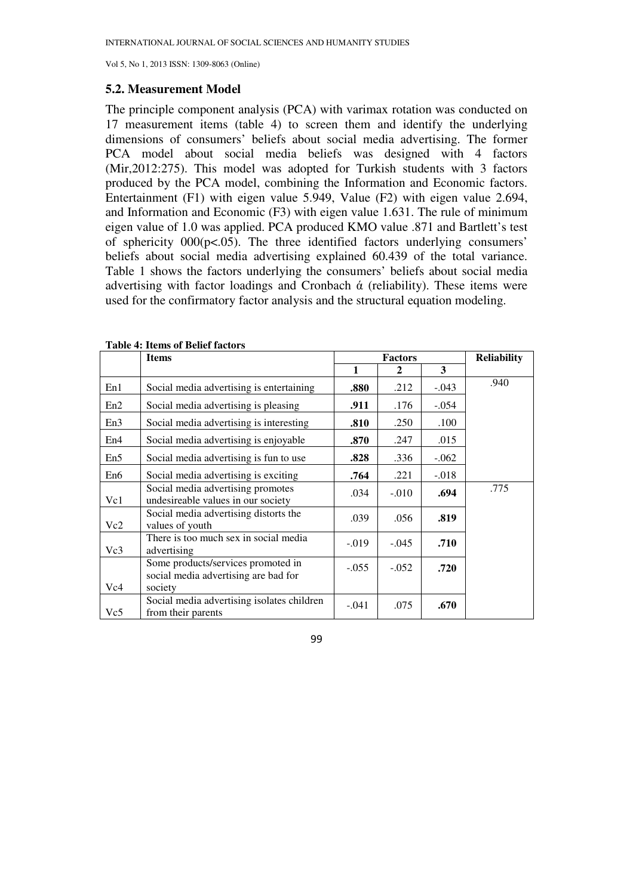### **5.2. Measurement Model**

The principle component analysis (PCA) with varimax rotation was conducted on 17 measurement items (table 4) to screen them and identify the underlying dimensions of consumers' beliefs about social media advertising. The former PCA model about social media beliefs was designed with 4 factors (Mir,2012:275). This model was adopted for Turkish students with 3 factors produced by the PCA model, combining the Information and Economic factors. Entertainment (F1) with eigen value 5.949, Value (F2) with eigen value 2.694, and Information and Economic (F3) with eigen value 1.631. The rule of minimum eigen value of 1.0 was applied. PCA produced KMO value .871 and Bartlett's test of sphericity  $000(p<.05)$ . The three identified factors underlying consumers' beliefs about social media advertising explained 60.439 of the total variance. Table 1 shows the factors underlying the consumers' beliefs about social media advertising with factor loadings and Cronbach  $\alpha$  (reliability). These items were used for the confirmatory factor analysis and the structural equation modeling.

|     | <b>Items</b>                                                               | <b>Factors</b> |              |         | <b>Reliability</b> |
|-----|----------------------------------------------------------------------------|----------------|--------------|---------|--------------------|
|     |                                                                            | 1              | $\mathbf{2}$ | 3       |                    |
| En1 | Social media advertising is entertaining                                   | .880           | .212         | $-.043$ | .940               |
| En2 | Social media advertising is pleasing                                       | .911           | .176         | $-.054$ |                    |
| En3 | Social media advertising is interesting                                    | .810           | .250         | .100    |                    |
| En4 | Social media advertising is enjoyable                                      | .870           | .247         | .015    |                    |
| En5 | Social media advertising is fun to use                                     | .828           | .336         | $-.062$ |                    |
| En6 | Social media advertising is exciting.                                      | .764           | .221         | $-.018$ |                    |
| Vc1 | Social media advertising promotes<br>undesireable values in our society    | .034           | $-.010$      | .694    | .775               |
| Vc2 | Social media advertising distorts the<br>values of youth                   | .039           | .056         | .819    |                    |
| Vc3 | There is too much sex in social media<br>advertising                       | $-0.019$       | $-.045$      | .710    |                    |
|     | Some products/services promoted in<br>social media advertising are bad for | $-.055$        | $-.052$      | .720    |                    |
| Vc4 | society                                                                    |                |              |         |                    |
| Vc5 | Social media advertising isolates children<br>from their parents           | $-.041$        | .075         | .670    |                    |

### **Table 4: Items of Belief factors**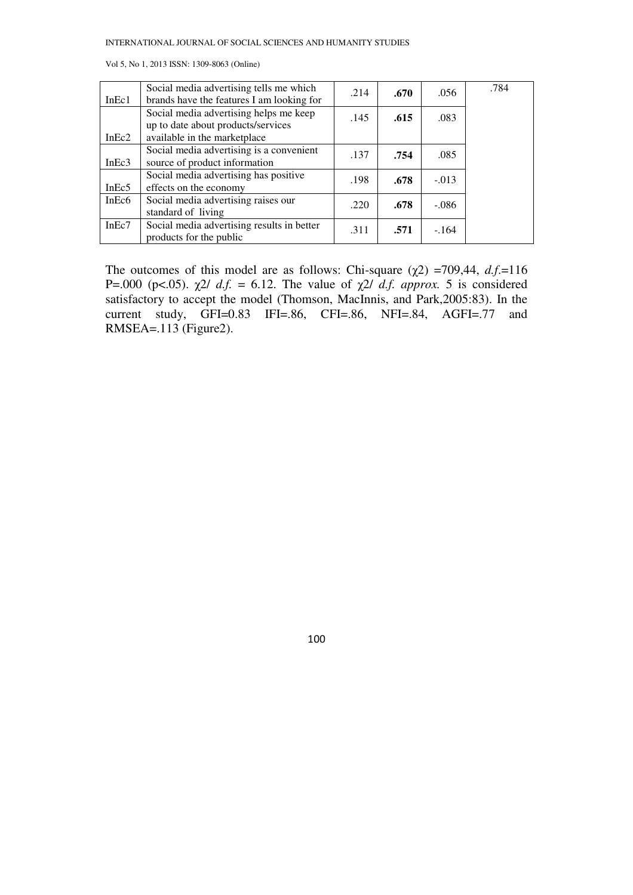|  |  |  |  | Vol 5, No 1, 2013 ISSN: 1309-8063 (Online) |  |
|--|--|--|--|--------------------------------------------|--|
|--|--|--|--|--------------------------------------------|--|

| InEc1             | Social media advertising tells me which<br>brands have the features I am looking for | .214 | .670 | .056    | .784 |
|-------------------|--------------------------------------------------------------------------------------|------|------|---------|------|
|                   | Social media advertising helps me keep                                               | .145 | .615 | .083    |      |
|                   | up to date about products/services                                                   |      |      |         |      |
| InEc2             | available in the marketplace                                                         |      |      |         |      |
|                   | Social media advertising is a convenient                                             | .137 | .754 | .085    |      |
| InEc3             | source of product information                                                        |      |      |         |      |
|                   | Social media advertising has positive                                                | .198 | .678 | $-.013$ |      |
| InEc5             | effects on the economy                                                               |      |      |         |      |
| InEc <sub>6</sub> | Social media advertising raises our                                                  | .220 | .678 | $-.086$ |      |
|                   | standard of living                                                                   |      |      |         |      |
| InEc7             | Social media advertising results in better                                           | .311 | .571 | $-.164$ |      |
|                   | products for the public                                                              |      |      |         |      |

The outcomes of this model are as follows: Chi-square  $(\chi^2)$  =709,44, *d.f.*=116 P=.000 (p<.05).  $\chi$ 2/ *d.f.* = 6.12. The value of  $\chi$ 2/ *d.f. approx.* 5 is considered satisfactory to accept the model (Thomson, MacInnis, and Park,2005:83). In the current study, GFI=0.83 IFI=.86, CFI=.86, NFI=.84, AGFI=.77 and RMSEA=.113 (Figure2).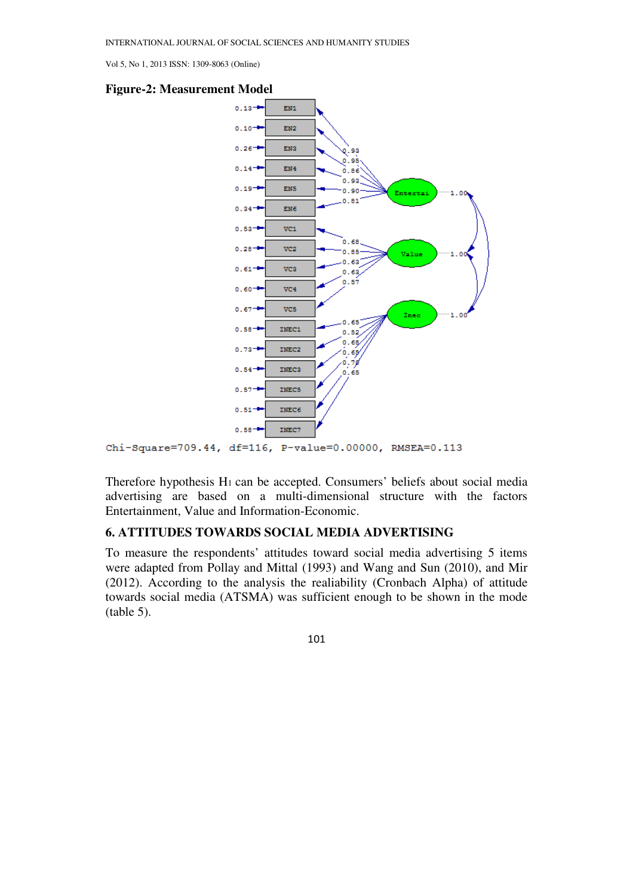



Chi-Square=709.44, df=116, P-value=0.00000, RMSEA=0.113

Therefore hypothesis H<sub>1</sub> can be accepted. Consumers' beliefs about social media advertising are based on a multi-dimensional structure with the factors Entertainment, Value and Information-Economic.

# **6. ATTITUDES TOWARDS SOCIAL MEDIA ADVERTISING**

To measure the respondents' attitudes toward social media advertising 5 items were adapted from Pollay and Mittal (1993) and Wang and Sun (2010), and Mir (2012). According to the analysis the realiability (Cronbach Alpha) of attitude towards social media (ATSMA) was sufficient enough to be shown in the mode (table 5).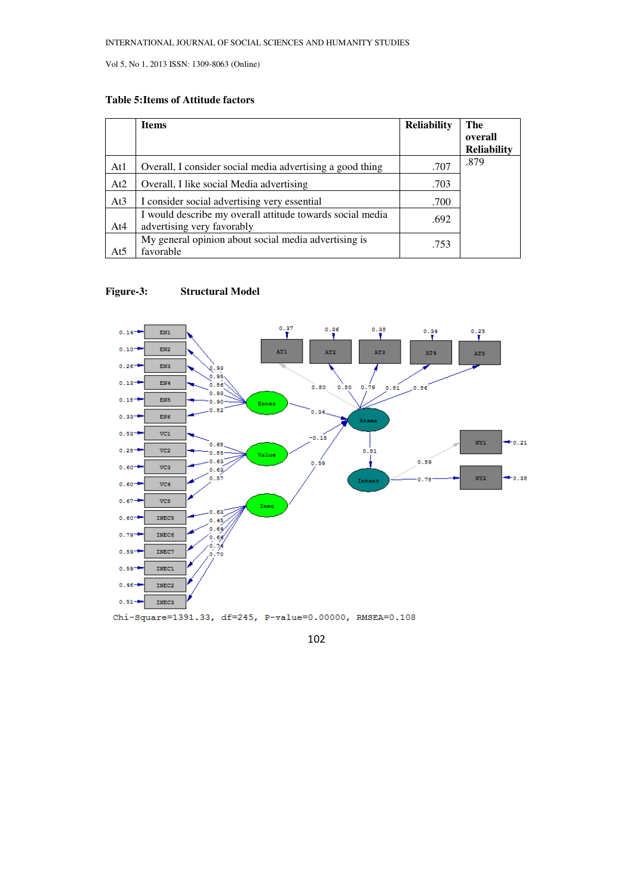## **Table 5: Items of Attitude factors**

|     | <b>Items</b>                                                                            | <b>Reliability</b> | The                |
|-----|-----------------------------------------------------------------------------------------|--------------------|--------------------|
|     |                                                                                         |                    | overall            |
|     |                                                                                         |                    | <b>Reliability</b> |
| At1 | Overall, I consider social media advertising a good thing                               | .707               | .879               |
| At2 | Overall, I like social Media advertising                                                | .703               |                    |
| At3 | I consider social advertising very essential                                            | .700               |                    |
| At4 | I would describe my overall attitude towards social media<br>advertising very favorably | .692               |                    |
| At5 | My general opinion about social media advertising is<br>favorable                       | .753               |                    |

### **Figure-3: Structural Model**



102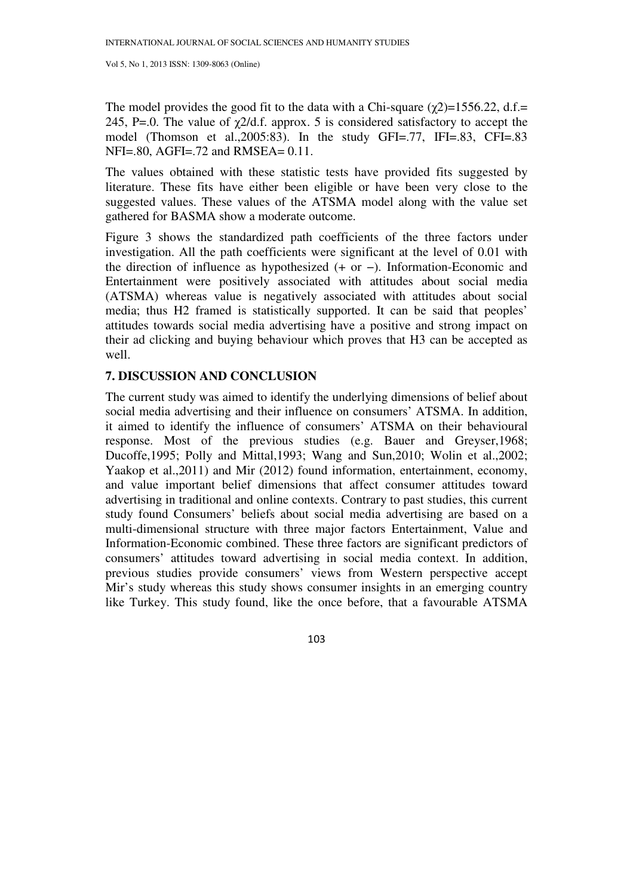The model provides the good fit to the data with a Chi-square  $(\chi^2)$ =1556.22, d.f.= 245, P=.0. The value of  $\gamma$ 2/d.f. approx. 5 is considered satisfactory to accept the model (Thomson et al.,2005:83). In the study GFI=.77, IFI=.83, CFI=.83 NFI=.80, AGFI=.72 and RMSEA= 0.11.

The values obtained with these statistic tests have provided fits suggested by literature. These fits have either been eligible or have been very close to the suggested values. These values of the ATSMA model along with the value set gathered for BASMA show a moderate outcome.

Figure 3 shows the standardized path coefficients of the three factors under investigation. All the path coefficients were significant at the level of 0.01 with the direction of influence as hypothesized (+ or −). Information-Economic and Entertainment were positively associated with attitudes about social media (ATSMA) whereas value is negatively associated with attitudes about social media; thus H2 framed is statistically supported. It can be said that peoples' attitudes towards social media advertising have a positive and strong impact on their ad clicking and buying behaviour which proves that H3 can be accepted as well.

### **7. DISCUSSION AND CONCLUSION**

The current study was aimed to identify the underlying dimensions of belief about social media advertising and their influence on consumers' ATSMA. In addition, it aimed to identify the influence of consumers' ATSMA on their behavioural response. Most of the previous studies (e.g. Bauer and Greyser,1968; Ducoffe,1995; Polly and Mittal,1993; Wang and Sun,2010; Wolin et al.,2002; Yaakop et al.,2011) and Mir (2012) found information, entertainment, economy, and value important belief dimensions that affect consumer attitudes toward advertising in traditional and online contexts. Contrary to past studies, this current study found Consumers' beliefs about social media advertising are based on a multi-dimensional structure with three major factors Entertainment, Value and Information-Economic combined. These three factors are significant predictors of consumers' attitudes toward advertising in social media context. In addition, previous studies provide consumers' views from Western perspective accept Mir's study whereas this study shows consumer insights in an emerging country like Turkey. This study found, like the once before, that a favourable ATSMA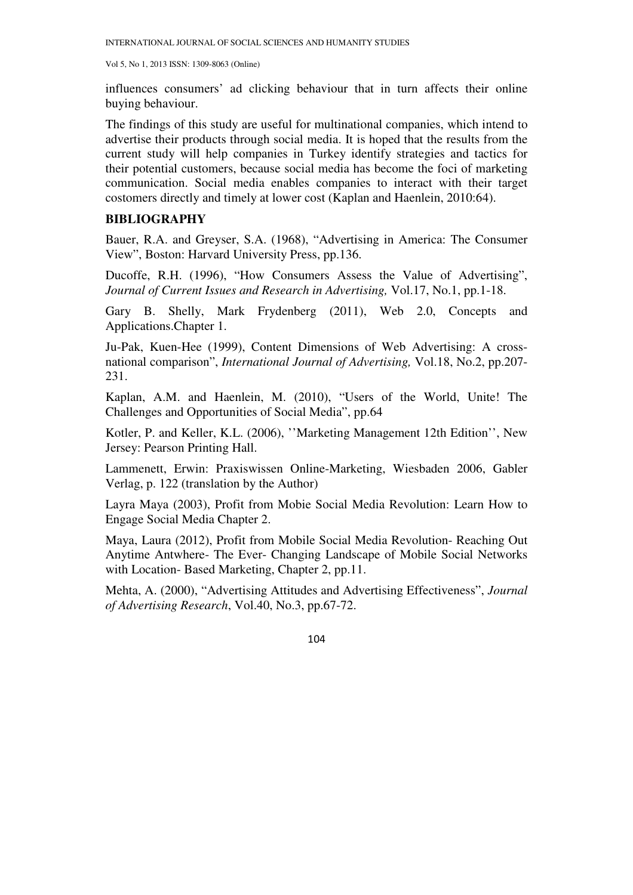influences consumers' ad clicking behaviour that in turn affects their online buying behaviour.

The findings of this study are useful for multinational companies, which intend to advertise their products through social media. It is hoped that the results from the current study will help companies in Turkey identify strategies and tactics for their potential customers, because social media has become the foci of marketing communication. Social media enables companies to interact with their target costomers directly and timely at lower cost (Kaplan and Haenlein, 2010:64).

# **BIBLIOGRAPHY**

Bauer, R.A. and Greyser, S.A. (1968), "Advertising in America: The Consumer View", Boston: Harvard University Press, pp.136.

Ducoffe, R.H. (1996), "How Consumers Assess the Value of Advertising", *Journal of Current Issues and Research in Advertising,* Vol.17, No.1, pp.1-18.

Gary B. Shelly, Mark Frydenberg (2011), Web 2.0, Concepts and Applications.Chapter 1.

Ju-Pak, Kuen-Hee (1999), Content Dimensions of Web Advertising: A crossnational comparison", *International Journal of Advertising,* Vol.18, No.2, pp.207- 231.

Kaplan, A.M. and Haenlein, M. (2010), "Users of the World, Unite! The Challenges and Opportunities of Social Media", pp.64

Kotler, P. and Keller, K.L. (2006), ''Marketing Management 12th Edition'', New Jersey: Pearson Printing Hall.

Lammenett, Erwin: Praxiswissen Online-Marketing, Wiesbaden 2006, Gabler Verlag, p. 122 (translation by the Author)

Layra Maya (2003), Profit from Mobie Social Media Revolution: Learn How to Engage Social Media Chapter 2.

Maya, Laura (2012), Profit from Mobile Social Media Revolution- Reaching Out Anytime Antwhere- The Ever- Changing Landscape of Mobile Social Networks with Location-Based Marketing, Chapter 2, pp.11.

Mehta, A. (2000), "Advertising Attitudes and Advertising Effectiveness", *Journal of Advertising Research*, Vol.40, No.3, pp.67-72.